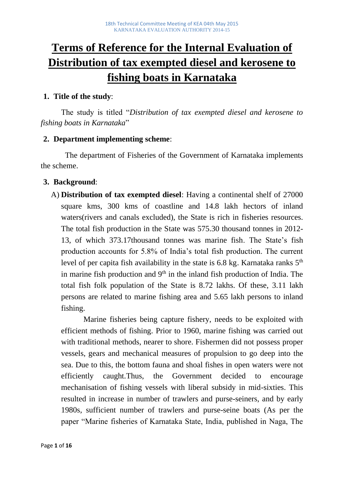# **Terms of Reference for the Internal Evaluation of Distribution of tax exempted diesel and kerosene to fishing boats in Karnataka**

#### **1. Title of the study**:

The study is titled "*Distribution of tax exempted diesel and kerosene to fishing boats in Karnataka*"

#### **2. Department implementing scheme**:

 The department of Fisheries of the Government of Karnataka implements the scheme.

#### **3. Background**:

A) **Distribution of tax exempted diesel**: Having a continental shelf of 27000 square kms, 300 kms of coastline and 14.8 lakh hectors of inland waters(rivers and canals excluded), the State is rich in fisheries resources. The total fish production in the State was 575.30 thousand tonnes in 2012- 13, of which 373.17thousand tonnes was marine fish. The State's fish production accounts for 5.8% of India's total fish production. The current level of per capita fish availability in the state is  $6.8 \text{ kg}$ . Karnataka ranks  $5<sup>th</sup>$ in marine fish production and  $9<sup>th</sup>$  in the inland fish production of India. The total fish folk population of the State is 8.72 lakhs. Of these, 3.11 lakh persons are related to marine fishing area and 5.65 lakh persons to inland fishing.

Marine fisheries being capture fishery, needs to be exploited with efficient methods of fishing. Prior to 1960, marine fishing was carried out with traditional methods, nearer to shore. Fishermen did not possess proper vessels, gears and mechanical measures of propulsion to go deep into the sea. Due to this, the bottom fauna and shoal fishes in open waters were not efficiently caught.Thus, the Government decided to encourage mechanisation of fishing vessels with liberal subsidy in mid-sixties. This resulted in increase in number of trawlers and purse-seiners, and by early 1980s, sufficient number of trawlers and purse-seine boats (As per the paper "Marine fisheries of Karnataka State, India, published in Naga, The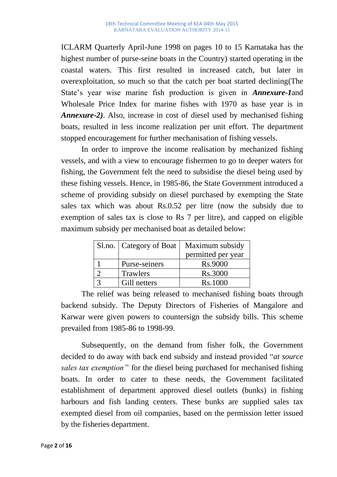ICLARM Quarterly April-June 1998 on pages 10 to 15 Karnataka has the highest number of purse-seine boats in the Country) started operating in the coastal waters. This first resulted in increased catch, but later in overexploitation, so much so that the catch per boat started declining(The State's year wise marine fish production is given in *Annexure-1*and Wholesale Price Index for marine fishes with 1970 as base year is in *Annexure-2)*. Also, increase in cost of diesel used by mechanised fishing boats, resulted in less income realization per unit effort. The department stopped encouragement for further mechanisation of fishing vessels.

In order to improve the income realisation by mechanized fishing vessels, and with a view to encourage fishermen to go to deeper waters for fishing, the Government felt the need to subsidise the diesel being used by these fishing vessels. Hence, in 1985-86, the State Government introduced a scheme of providing subsidy on diesel purchased by exempting the State sales tax which was about Rs.0.52 per litre (now the subsidy due to exemption of sales tax is close to Rs 7 per litre), and capped on eligible maximum subsidy per mechanised boat as detailed below:

| Sl.no.   Category of Boat | Maximum subsidy    |
|---------------------------|--------------------|
|                           | permitted per year |
| Purse-seiners             | <b>Rs.9000</b>     |
| Trawlers                  | Rs.3000            |
| Gill netters              | Rs.1000            |

The relief was being released to mechanised fishing boats through backend subsidy. The Deputy Directors of Fisheries of Mangalore and Karwar were given powers to countersign the subsidy bills. This scheme prevailed from 1985-86 to 1998-99.

Subsequently, on the demand from fisher folk, the Government decided to do away with back end subsidy and instead provided "*at source sales tax exemption'*' for the diesel being purchased for mechanised fishing boats. In order to cater to these needs, the Government facilitated establishment of department approved diesel outlets (bunks) in fishing harbours and fish landing centers. These bunks are supplied sales tax exempted diesel from oil companies, based on the permission letter issued by the fisheries department.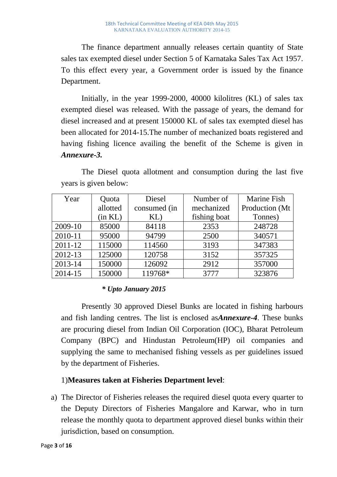The finance department annually releases certain quantity of State sales tax exempted diesel under Section 5 of Karnataka Sales Tax Act 1957. To this effect every year, a Government order is issued by the finance Department.

Initially, in the year 1999-2000, 40000 kilolitres (KL) of sales tax exempted diesel was released. With the passage of years, the demand for diesel increased and at present 150000 KL of sales tax exempted diesel has been allocated for 2014-15.The number of mechanized boats registered and having fishing licence availing the benefit of the Scheme is given in *Annexure-3.*

| Year        | Quota    | <b>Diesel</b> | Number of    | <b>Marine Fish</b> |
|-------------|----------|---------------|--------------|--------------------|
|             | allotted | consumed (in  | mechanized   | Production (Mt     |
|             | (in KL)  | KL)           | fishing boat | Tonnes)            |
| 2009-10     | 85000    | 84118         | 2353         | 248728             |
| 2010-11     | 95000    | 94799         | 2500         | 340571             |
| $2011 - 12$ | 115000   | 114560        | 3193         | 347383             |
| 2012-13     | 125000   | 120758        | 3152         | 357325             |
| 2013-14     | 150000   | 126092        | 2912         | 357000             |
| 2014-15     | 150000   | 119768*       | 3777         | 323876             |

The Diesel quota allotment and consumption during the last five years is given below:

### *\* Upto January 2015*

Presently 30 approved Diesel Bunks are located in fishing harbours and fish landing centres. The list is enclosed as*Annexure-4*. These bunks are procuring diesel from Indian Oil Corporation (IOC), Bharat Petroleum Company (BPC) and Hindustan Petroleum(HP) oil companies and supplying the same to mechanised fishing vessels as per guidelines issued by the department of Fisheries.

#### 1)**Measures taken at Fisheries Department level**:

a) The Director of Fisheries releases the required diesel quota every quarter to the Deputy Directors of Fisheries Mangalore and Karwar, who in turn release the monthly quota to department approved diesel bunks within their jurisdiction, based on consumption.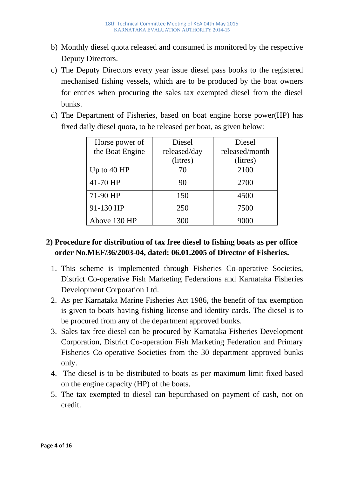- b) Monthly diesel quota released and consumed is monitored by the respective Deputy Directors.
- c) The Deputy Directors every year issue diesel pass books to the registered mechanised fishing vessels, which are to be produced by the boat owners for entries when procuring the sales tax exempted diesel from the diesel bunks.
- d) The Department of Fisheries, based on boat engine horse power(HP) has fixed daily diesel quota, to be released per boat, as given below:

| Horse power of  | Diesel       | Diesel         |
|-----------------|--------------|----------------|
| the Boat Engine | released/day | released/month |
|                 | (litres)     | (litres)       |
| Up to $40$ HP   | 70           | 2100           |
| 41-70 HP        | 90           | 2700           |
| 71-90 HP        | 150          | 4500           |
| 91-130 HP       | 250          | 7500           |
| Above 130 HP    | 300          |                |

# **2) Procedure for distribution of tax free diesel to fishing boats as per office order No.MEF/36/2003-04, dated: 06.01.2005 of Director of Fisheries.**

- 1. This scheme is implemented through Fisheries Co-operative Societies, District Co-operative Fish Marketing Federations and Karnataka Fisheries Development Corporation Ltd.
- 2. As per Karnataka Marine Fisheries Act 1986, the benefit of tax exemption is given to boats having fishing license and identity cards. The diesel is to be procured from any of the department approved bunks.
- 3. Sales tax free diesel can be procured by Karnataka Fisheries Development Corporation, District Co-operation Fish Marketing Federation and Primary Fisheries Co-operative Societies from the 30 department approved bunks only.
- 4. The diesel is to be distributed to boats as per maximum limit fixed based on the engine capacity (HP) of the boats.
- 5. The tax exempted to diesel can bepurchased on payment of cash, not on credit.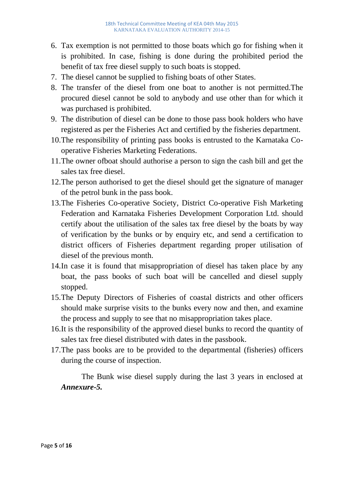- 6. Tax exemption is not permitted to those boats which go for fishing when it is prohibited. In case, fishing is done during the prohibited period the benefit of tax free diesel supply to such boats is stopped.
- 7. The diesel cannot be supplied to fishing boats of other States.
- 8. The transfer of the diesel from one boat to another is not permitted.The procured diesel cannot be sold to anybody and use other than for which it was purchased is prohibited.
- 9. The distribution of diesel can be done to those pass book holders who have registered as per the Fisheries Act and certified by the fisheries department.
- 10.The responsibility of printing pass books is entrusted to the Karnataka Cooperative Fisheries Marketing Federations.
- 11.The owner ofboat should authorise a person to sign the cash bill and get the sales tax free diesel.
- 12.The person authorised to get the diesel should get the signature of manager of the petrol bunk in the pass book.
- 13.The Fisheries Co-operative Society, District Co-operative Fish Marketing Federation and Karnataka Fisheries Development Corporation Ltd. should certify about the utilisation of the sales tax free diesel by the boats by way of verification by the bunks or by enquiry etc, and send a certification to district officers of Fisheries department regarding proper utilisation of diesel of the previous month.
- 14.In case it is found that misappropriation of diesel has taken place by any boat, the pass books of such boat will be cancelled and diesel supply stopped.
- 15.The Deputy Directors of Fisheries of coastal districts and other officers should make surprise visits to the bunks every now and then, and examine the process and supply to see that no misappropriation takes place.
- 16.It is the responsibility of the approved diesel bunks to record the quantity of sales tax free diesel distributed with dates in the passbook.
- 17.The pass books are to be provided to the departmental (fisheries) officers during the course of inspection.

The Bunk wise diesel supply during the last 3 years in enclosed at *Annexure-5.*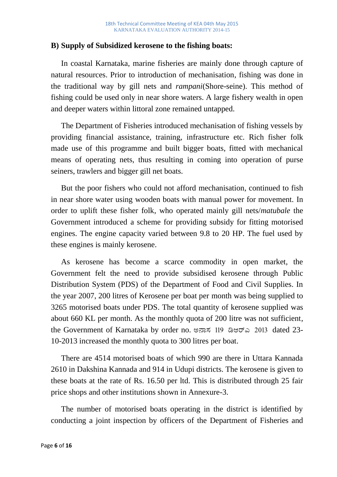#### **B) Supply of Subsidized kerosene to the fishing boats:**

In coastal Karnataka, marine fisheries are mainly done through capture of natural resources. Prior to introduction of mechanisation, fishing was done in the traditional way by gill nets and *rampani*(Shore-seine). This method of fishing could be used only in near shore waters. A large fishery wealth in open and deeper waters within littoral zone remained untapped.

The Department of Fisheries introduced mechanisation of fishing vessels by providing financial assistance, training, infrastructure etc. Rich fisher folk made use of this programme and built bigger boats, fitted with mechanical means of operating nets, thus resulting in coming into operation of purse seiners, trawlers and bigger gill net boats.

But the poor fishers who could not afford mechanisation, continued to fish in near shore water using wooden boats with manual power for movement. In order to uplift these fisher folk, who operated mainly gill nets/*matubale* the Government introduced a scheme for providing subsidy for fitting motorised engines. The engine capacity varied between 9.8 to 20 HP. The fuel used by these engines is mainly kerosene.

As kerosene has become a scarce commodity in open market, the Government felt the need to provide subsidised kerosene through Public Distribution System (PDS) of the Department of Food and Civil Supplies. In the year 2007, 200 litres of Kerosene per boat per month was being supplied to 3265 motorised boats under PDS. The total quantity of kerosene supplied was about 660 KL per month. As the monthly quota of 200 litre was not sufficient, the Government of Karnataka by order no. ಅನಾಸ 119 ಡಿಆರ್ಎ 2013 dated 23-10-2013 increased the monthly quota to 300 litres per boat.

There are 4514 motorised boats of which 990 are there in Uttara Kannada 2610 in Dakshina Kannada and 914 in Udupi districts. The kerosene is given to these boats at the rate of Rs. 16.50 per ltd. This is distributed through 25 fair price shops and other institutions shown in Annexure-3.

The number of motorised boats operating in the district is identified by conducting a joint inspection by officers of the Department of Fisheries and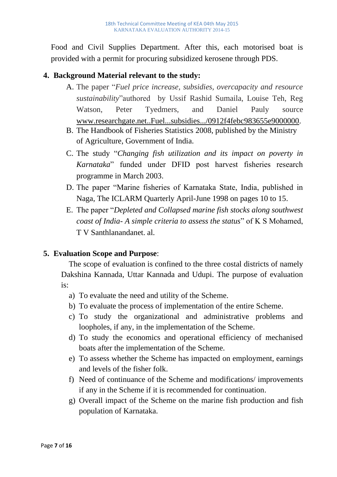Food and Civil Supplies Department. After this, each motorised boat is provided with a permit for procuring subsidized kerosene through PDS.

#### **4. Background Material relevant to the study:**

- A. The paper "*Fuel price increase, subsidies, overcapacity and resource sustainability*"authored by Ussif Rashid Sumaila, Louise Teh, Reg Watson, Peter Tyedmers, and Daniel Pauly source [www.researchgate.net..Fuel...subsidies.../0912f4febc983655e9000000.](http://www.researchgate.net..fuel...subsidies.../0912f4febc983655e9000000)
- B. The Handbook of Fisheries Statistics 2008, published by the Ministry of Agriculture, Government of India.
- C. The study "*Changing fish utilization and its impact on poverty in Karnataka*" funded under DFID post harvest fisheries research programme in March 2003.
- D. The paper "Marine fisheries of Karnataka State, India, published in Naga, The ICLARM Quarterly April-June 1998 on pages 10 to 15.
- E. The paper "*Depleted and Collapsed marine fish stocks along southwest coast of India- A simple criteria to assess the status*" of K S Mohamed, T V Santhlanandanet. al.

#### **5. Evaluation Scope and Purpose**:

The scope of evaluation is confined to the three costal districts of namely Dakshina Kannada, Uttar Kannada and Udupi. The purpose of evaluation is:

- a) To evaluate the need and utility of the Scheme.
- b) To evaluate the process of implementation of the entire Scheme.
- c) To study the organizational and administrative problems and loopholes, if any, in the implementation of the Scheme.
- d) To study the economics and operational efficiency of mechanised boats after the implementation of the Scheme.
- e) To assess whether the Scheme has impacted on employment, earnings and levels of the fisher folk.
- f) Need of continuance of the Scheme and modifications/ improvements if any in the Scheme if it is recommended for continuation.
- g) Overall impact of the Scheme on the marine fish production and fish population of Karnataka.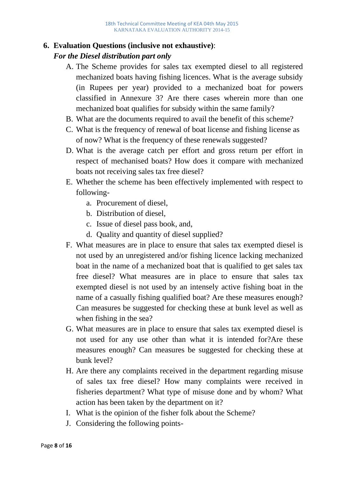#### **6. Evaluation Questions (inclusive not exhaustive)**:

#### *For the Diesel distribution part only*

- A. The Scheme provides for sales tax exempted diesel to all registered mechanized boats having fishing licences. What is the average subsidy (in Rupees per year) provided to a mechanized boat for powers classified in Annexure 3? Are there cases wherein more than one mechanized boat qualifies for subsidy within the same family?
- B. What are the documents required to avail the benefit of this scheme?
- C. What is the frequency of renewal of boat license and fishing license as of now? What is the frequency of these renewals suggested?
- D. What is the average catch per effort and gross return per effort in respect of mechanised boats? How does it compare with mechanized boats not receiving sales tax free diesel?
- E. Whether the scheme has been effectively implemented with respect to following
	- a. Procurement of diesel,
	- b. Distribution of diesel,
	- c. Issue of diesel pass book, and,
	- d. Quality and quantity of diesel supplied?
- F. What measures are in place to ensure that sales tax exempted diesel is not used by an unregistered and/or fishing licence lacking mechanized boat in the name of a mechanized boat that is qualified to get sales tax free diesel? What measures are in place to ensure that sales tax exempted diesel is not used by an intensely active fishing boat in the name of a casually fishing qualified boat? Are these measures enough? Can measures be suggested for checking these at bunk level as well as when fishing in the sea?
- G. What measures are in place to ensure that sales tax exempted diesel is not used for any use other than what it is intended for?Are these measures enough? Can measures be suggested for checking these at bunk level?
- H. Are there any complaints received in the department regarding misuse of sales tax free diesel? How many complaints were received in fisheries department? What type of misuse done and by whom? What action has been taken by the department on it?
- I. What is the opinion of the fisher folk about the Scheme?
- J. Considering the following points-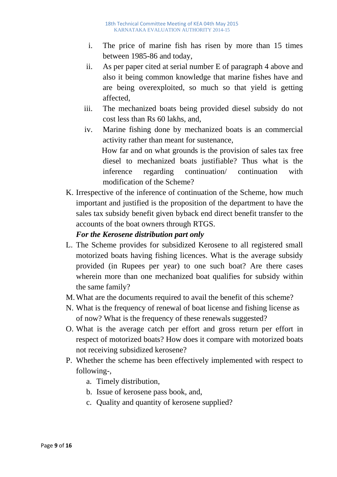- i. The price of marine fish has risen by more than 15 times between 1985-86 and today,
- ii. As per paper cited at serial number E of paragraph 4 above and also it being common knowledge that marine fishes have and are being overexploited, so much so that yield is getting affected,
- iii. The mechanized boats being provided diesel subsidy do not cost less than Rs 60 lakhs, and,
- iv. Marine fishing done by mechanized boats is an commercial activity rather than meant for sustenance, How far and on what grounds is the provision of sales tax free diesel to mechanized boats justifiable? Thus what is the inference regarding continuation/ continuation with modification of the Scheme?
- K. Irrespective of the inference of continuation of the Scheme, how much important and justified is the proposition of the department to have the sales tax subsidy benefit given byback end direct benefit transfer to the accounts of the boat owners through RTGS.

# *For the Kerosene distribution part only*

- L. The Scheme provides for subsidized Kerosene to all registered small motorized boats having fishing licences. What is the average subsidy provided (in Rupees per year) to one such boat? Are there cases wherein more than one mechanized boat qualifies for subsidy within the same family?
- M.What are the documents required to avail the benefit of this scheme?
- N. What is the frequency of renewal of boat license and fishing license as of now? What is the frequency of these renewals suggested?
- O. What is the average catch per effort and gross return per effort in respect of motorized boats? How does it compare with motorized boats not receiving subsidized kerosene?
- P. Whether the scheme has been effectively implemented with respect to following-,
	- a. Timely distribution,
	- b. Issue of kerosene pass book, and,
	- c. Quality and quantity of kerosene supplied?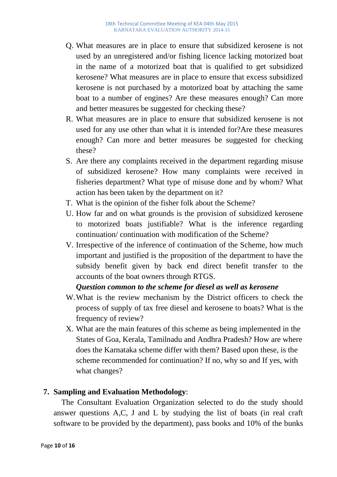- Q. What measures are in place to ensure that subsidized kerosene is not used by an unregistered and/or fishing licence lacking motorized boat in the name of a motorized boat that is qualified to get subsidized kerosene? What measures are in place to ensure that excess subsidized kerosene is not purchased by a motorized boat by attaching the same boat to a number of engines? Are these measures enough? Can more and better measures be suggested for checking these?
- R. What measures are in place to ensure that subsidized kerosene is not used for any use other than what it is intended for?Are these measures enough? Can more and better measures be suggested for checking these?
- S. Are there any complaints received in the department regarding misuse of subsidized kerosene? How many complaints were received in fisheries department? What type of misuse done and by whom? What action has been taken by the department on it?
- T. What is the opinion of the fisher folk about the Scheme?
- U. How far and on what grounds is the provision of subsidized kerosene to motorized boats justifiable? What is the inference regarding continuation/ continuation with modification of the Scheme?
- V. Irrespective of the inference of continuation of the Scheme, how much important and justified is the proposition of the department to have the subsidy benefit given by back end direct benefit transfer to the accounts of the boat owners through RTGS.

#### *Question common to the scheme for diesel as well as kerosene*

- W.What is the review mechanism by the District officers to check the process of supply of tax free diesel and kerosene to boats? What is the frequency of review?
- X. What are the main features of this scheme as being implemented in the States of Goa, Kerala, Tamilnadu and Andhra Pradesh? How are where does the Karnataka scheme differ with them? Based upon these, is the scheme recommended for continuation? If no, why so and If yes, with what changes?

#### **7. Sampling and Evaluation Methodology**:

 The Consultant Evaluation Organization selected to do the study should answer questions A,C, J and L by studying the list of boats (in real craft software to be provided by the department), pass books and 10% of the bunks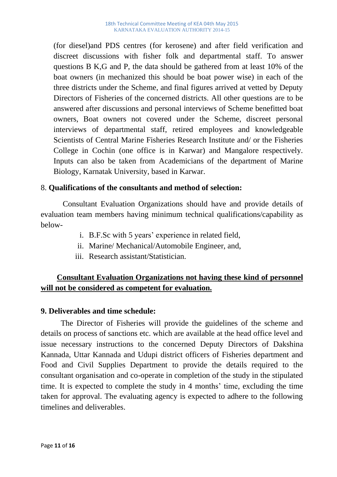(for diesel)and PDS centres (for kerosene) and after field verification and discreet discussions with fisher folk and departmental staff. To answer questions B K,G and P, the data should be gathered from at least 10% of the boat owners (in mechanized this should be boat power wise) in each of the three districts under the Scheme, and final figures arrived at vetted by Deputy Directors of Fisheries of the concerned districts. All other questions are to be answered after discussions and personal interviews of Scheme benefitted boat owners, Boat owners not covered under the Scheme, discreet personal interviews of departmental staff, retired employees and knowledgeable Scientists of Central Marine Fisheries Research Institute and/ or the Fisheries College in Cochin (one office is in Karwar) and Mangalore respectively. Inputs can also be taken from Academicians of the department of Marine Biology, Karnatak University, based in Karwar.

#### 8. **Qualifications of the consultants and method of selection:**

 Consultant Evaluation Organizations should have and provide details of evaluation team members having minimum technical qualifications/capability as below-

- i. B.F.Sc with 5 years' experience in related field,
- ii. Marine/ Mechanical/Automobile Engineer, and,
- iii. Research assistant/Statistician.

### **Consultant Evaluation Organizations not having these kind of personnel will not be considered as competent for evaluation.**

#### **9. Deliverables and time schedule:**

The Director of Fisheries will provide the guidelines of the scheme and details on process of sanctions etc. which are available at the head office level and issue necessary instructions to the concerned Deputy Directors of Dakshina Kannada, Uttar Kannada and Udupi district officers of Fisheries department and Food and Civil Supplies Department to provide the details required to the consultant organisation and co-operate in completion of the study in the stipulated time. It is expected to complete the study in 4 months' time, excluding the time taken for approval. The evaluating agency is expected to adhere to the following timelines and deliverables.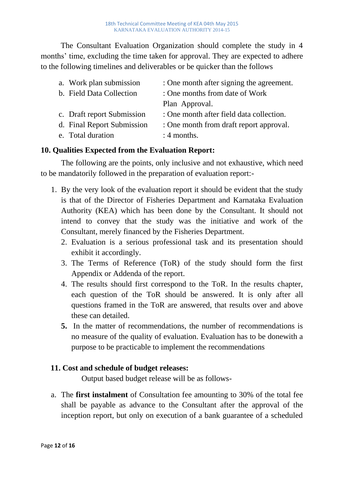The Consultant Evaluation Organization should complete the study in 4 months' time, excluding the time taken for approval. They are expected to adhere to the following timelines and deliverables or be quicker than the follows

| a. Work plan submission    | : One month after signing the agreement. |
|----------------------------|------------------------------------------|
| b. Field Data Collection   | : One months from date of Work           |
|                            | Plan Approval.                           |
| c. Draft report Submission | : One month after field data collection. |
| d. Final Report Submission | : One month from draft report approval.  |
| e. Total duration          | $: 4$ months.                            |
|                            |                                          |

### **10. Qualities Expected from the Evaluation Report:**

The following are the points, only inclusive and not exhaustive, which need to be mandatorily followed in the preparation of evaluation report:-

- 1. By the very look of the evaluation report it should be evident that the study is that of the Director of Fisheries Department and Karnataka Evaluation Authority (KEA) which has been done by the Consultant. It should not intend to convey that the study was the initiative and work of the Consultant, merely financed by the Fisheries Department.
	- 2. Evaluation is a serious professional task and its presentation should exhibit it accordingly.
	- 3. The Terms of Reference (ToR) of the study should form the first Appendix or Addenda of the report.
	- 4. The results should first correspond to the ToR. In the results chapter, each question of the ToR should be answered. It is only after all questions framed in the ToR are answered, that results over and above these can detailed.
	- **5.** In the matter of recommendations, the number of recommendations is no measure of the quality of evaluation. Evaluation has to be donewith a purpose to be practicable to implement the recommendations

#### **11. Cost and schedule of budget releases:**

Output based budget release will be as follows-

a. The **first instalment** of Consultation fee amounting to 30% of the total fee shall be payable as advance to the Consultant after the approval of the inception report, but only on execution of a bank guarantee of a scheduled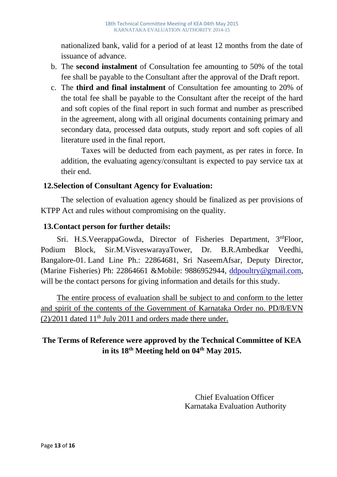nationalized bank, valid for a period of at least 12 months from the date of issuance of advance.

- b. The **second instalment** of Consultation fee amounting to 50% of the total fee shall be payable to the Consultant after the approval of the Draft report.
- c. The **third and final instalment** of Consultation fee amounting to 20% of the total fee shall be payable to the Consultant after the receipt of the hard and soft copies of the final report in such format and number as prescribed in the agreement, along with all original documents containing primary and secondary data, processed data outputs, study report and soft copies of all literature used in the final report.

Taxes will be deducted from each payment, as per rates in force. In addition, the evaluating agency/consultant is expected to pay service tax at their end.

#### **12.Selection of Consultant Agency for Evaluation:**

The selection of evaluation agency should be finalized as per provisions of KTPP Act and rules without compromising on the quality.

#### **13.Contact person for further details:**

Sri. H.S.VeerappaGowda, Director of Fisheries Department, 3rdFloor, Podium Block, Sir.M.VisveswarayaTower, Dr. B.R.Ambedkar Veedhi, Bangalore-01. Land Line Ph.: 22864681, Sri NaseemAfsar, Deputy Director, (Marine Fisheries) Ph: 22864661 &Mobile: 9886952944, [ddpoultry@gmail.com,](mailto:ddpoultry@gmail.com) will be the contact persons for giving information and details for this study.

The entire process of evaluation shall be subject to and conform to the letter and spirit of the contents of the Government of Karnataka Order no. PD/8/EVN  $(2)/2011$  dated  $11<sup>th</sup>$  July 2011 and orders made there under.

# **The Terms of Reference were approved by the Technical Committee of KEA in its 18th Meeting held on 04th May 2015.**

 Chief Evaluation Officer Karnataka Evaluation Authority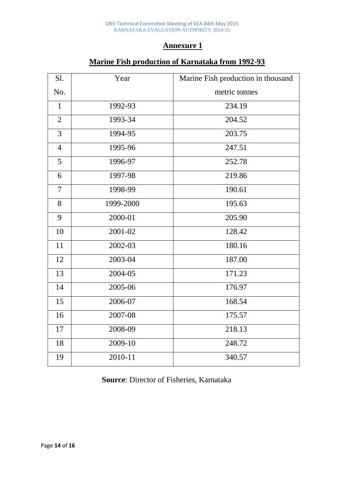#### **Annexure 1**

| S1.            | Year      | Marine Fish production in thousand |
|----------------|-----------|------------------------------------|
| No.            |           | metric tonnes                      |
| $\mathbf{1}$   | 1992-93   | 234.19                             |
| $\overline{2}$ | 1993-34   | 204.52                             |
| $\overline{3}$ | 1994-95   | 203.75                             |
| $\overline{4}$ | 1995-96   | 247.51                             |
| 5              | 1996-97   | 252.78                             |
| 6              | 1997-98   | 219.86                             |
| $\overline{7}$ | 1998-99   | 190.61                             |
| 8              | 1999-2000 | 195.63                             |
| 9              | 2000-01   | 205.90                             |
| 10             | 2001-02   | 128.42                             |
| 11             | 2002-03   | 180.16                             |
| 12             | 2003-04   | 187.00                             |
| 13             | 2004-05   | 171.23                             |
| 14             | 2005-06   | 176.97                             |
| 15             | 2006-07   | 168.54                             |
| 16             | 2007-08   | 175.57                             |
| 17             | 2008-09   | 218.13                             |
| 18             | 2009-10   | 248.72                             |
| 19             | 2010-11   | 340.57                             |

# **Marine Fish production of Karnataka from 1992-93**

**Source**: Director of Fisheries, Karnataka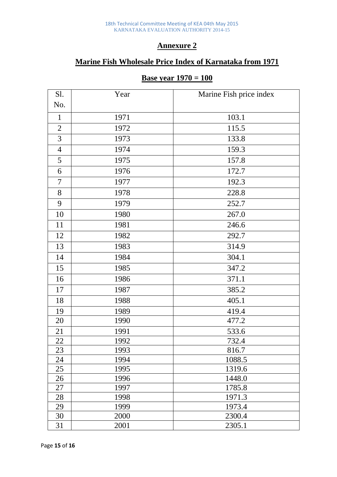#### **Annexure 2**

# **Marine Fish Wholesale Price Index of Karnataka from 1971**

#### **Base year 1970 = 100**

| S1.            | Year | Marine Fish price index |
|----------------|------|-------------------------|
| No.            |      |                         |
| $\mathbf{1}$   | 1971 | 103.1                   |
| $\overline{2}$ | 1972 | 115.5                   |
| 3              | 1973 | 133.8                   |
| $\overline{4}$ | 1974 | 159.3                   |
| 5              | 1975 | 157.8                   |
| 6              | 1976 | 172.7                   |
| $\tau$         | 1977 | 192.3                   |
| 8              | 1978 | 228.8                   |
| 9              | 1979 | 252.7                   |
| 10             | 1980 | 267.0                   |
| 11             | 1981 | 246.6                   |
| 12             | 1982 | 292.7                   |
| 13             | 1983 | 314.9                   |
| 14             | 1984 | 304.1                   |
| 15             | 1985 | 347.2                   |
| 16             | 1986 | 371.1                   |
| 17             | 1987 | 385.2                   |
| 18             | 1988 | 405.1                   |
| 19             | 1989 | 419.4                   |
| 20             | 1990 | 477.2                   |
| 21             | 1991 | 533.6                   |
| 22             | 1992 | 732.4                   |
| 23             | 1993 | 816.7                   |
| 24             | 1994 | 1088.5                  |
| 25             | 1995 | 1319.6                  |
| 26             | 1996 | 1448.0                  |
| 27             | 1997 | 1785.8                  |
| 28             | 1998 | 1971.3                  |
| 29             | 1999 | 1973.4                  |
| 30             | 2000 | 2300.4                  |
| 31             | 2001 | 2305.1                  |